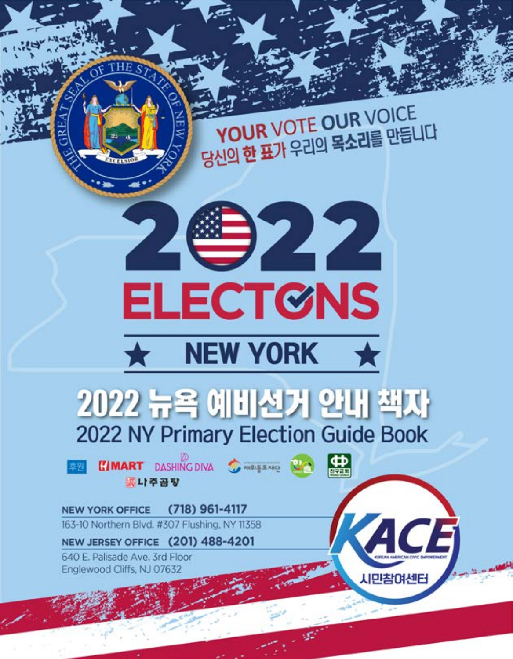**YOUR VOTE OUR VOICE** 당신의 한 표가 우리의 목소리를 만듭니다



**CIMART** DASHING DIVA STRANGERING 選나주공장

儒

ACE

**시민참여센터** 

NEW YORK OFFICE (718) 961-4117 163-10 Northern Blvd. #307 Flushing, NY 11358

NEW JERSEY OFFICE (201) 488-4201

640 E. Palisade Ave. 3rd Floor Englewood Cliffs, NJ 07632

**CELSIS**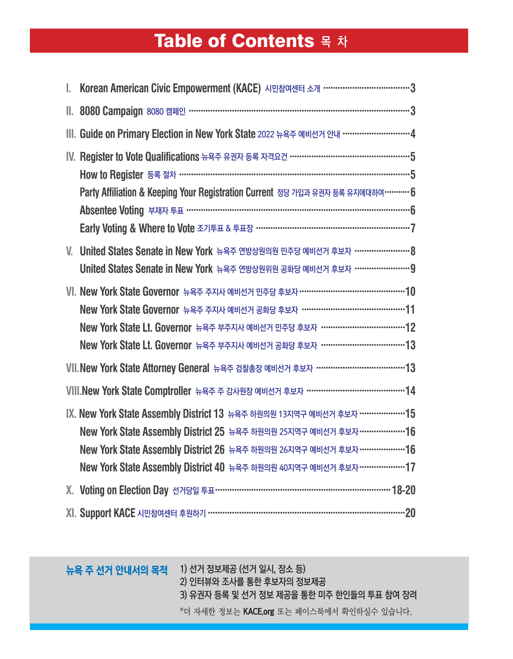# Table of Contents 목 차

|         | Korean American Civic Empowerment (KACE) 시민참여센터 소개 …………………………………3                                                                                                                                                                                                                                      |
|---------|--------------------------------------------------------------------------------------------------------------------------------------------------------------------------------------------------------------------------------------------------------------------------------------------------------|
| II.,    | 8080 Campaign 8080 캠페인 …………………………………………………………………………………3                                                                                                                                                                                                                                                |
|         | III. Guide on Primary Election in New York State 2022 뉴욕주 예비선거 안내 …………………………4                                                                                                                                                                                                                          |
|         | IV. Register to Vote Qualifications 뉴욕주 유권자 등록 자격요건 ………………………………………………5<br>Party Affiliation & Keeping Your Registration Current 정당 가입과 유권자 등록 유지에대하여 ………… 6                                                                                                                                           |
| $V_{-}$ | United States Senate in New York 뉴욕주 연방상원의원 민주당 예비선거 후보자 ……………………… 8<br>United States Senate in New York 뉴욕주 연방상원위원 공화당 예비선거 후보자 …………………… 9                                                                                                                                                            |
|         | VI. New York State Governor 뉴욕주 주지사 예비선거 민주당 후보자 ………………………………………… 10<br>New York State Governor 뉴욕주 주지사 예비선거 공화당 후보자 …………………………………………11<br>New York State Lt. Governor 뉴욕주 부주지사 예비선거 민주당 후보자 ………………………………… 12<br>New York State Lt. Governor 뉴욕주 부주지사 예비선거 공화당 후보자 ………………………………… 13                    |
|         | VII. New York State Attorney General 뉴욕주 검찰총장 예비선거 후보자 …………………………………… 13                                                                                                                                                                                                                               |
|         | VIII.New York State Comptroller 뉴욕주 주 감사원장 예비선거 후보자 ……………………………………… 14                                                                                                                                                                                                                                 |
|         | IX. New York State Assembly District 13 뉴욕주 하원의원 13지역구 예비선거 후보자 ………………… 15<br>New York State Assembly District 25 뉴욕주 하원의원 25지역구 예비선거 후보자 ………………… 16<br>New York State Assembly District 26 뉴욕주 하원의원 26지역구 예비선거 후보자…………………16<br>New York State Assembly District 40 뉴욕주 하원의원 40지역구 예비선거 후보자 ………………… 17 |
|         |                                                                                                                                                                                                                                                                                                        |
|         |                                                                                                                                                                                                                                                                                                        |

뉴욕 주 선거 안내서의 목적 1) 선거 정보제공 (선거 일시, 장소 등) 2) 인터뷰와 조사를 통한 후보자의 정보제공 3) 유권자 등록 및 선거 정보 제공을 통한 미주 한인들의 투표 참여 장려 \*더 자세한 정보는 KACE.org 또는 페이스북에서 확인하실수 있습니다.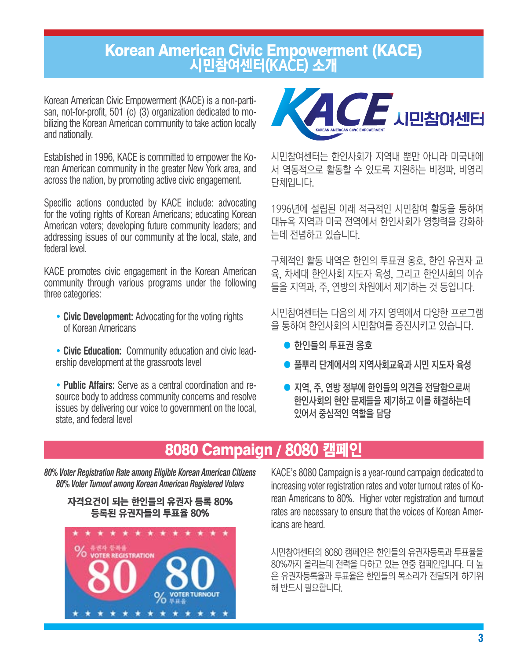## Korean American Civic Empowerment (KACE) 시민참여센터(KACE) 소개

Korean American Civic Empowerment (KACE) is a non-partisan, not-for-profit, 501 (c) (3) organization dedicated to mobilizing the Korean American community to take action locally and nationally.

Established in 1996, KACE is committed to empower the Korean American community in the greater New York area, and across the nation, by promoting active civic engagement.

Specific actions conducted by KACE include: advocating for the voting rights of Korean Americans; educating Korean American voters; developing future community leaders; and addressing issues of our community at the local, state, and federal level.

KACE promotes civic engagement in the Korean American community through various programs under the following three categories:

- **• Civic Development:** Advocating for the voting rights of Korean Americans
- **• Civic Education:** Community education and civic leadership development at the grassroots level

**• Public Affairs:** Serve as a central coordination and resource body to address community concerns and resolve issues by delivering our voice to government on the local, state, and federal level



시민참여센터는 한인사회가 지역내 뿐만 아니라 미국내에 서 역동적으로 활동할 수 있도록 지원하는 비정파, 비영리 단체입니다.

1996년에 설립된 이래 적극적인 시민참여 활동을 통하여 대뉴욕 지역과 미국 전역에서 한인사회가 영향력을 강화하 는데 전념하고 있습니다.

구체적인 활동 내역은 한인의 투표권 옹호, 한인 유권자 교 육, 차세대 한인사회 지도자 육성, 그리고 한인사회의 이슈 들을 지역과, 주, 연방의 차원에서 제기하는 것 등입니다.

시민참여센터는 다음의 세 가지 영역에서 다양한 프로그램 을 통하여 한인사회의 시민참여를 증진시키고 있습니다.

- 한인들의 투표권 옹호
- 풀뿌리 단계에서의 지역사회교육과 시민 지도자 육성
- 지역, 주, 연방 정부에 한인들의 의견을 전달함으로써 한인사회의 현안 문제들을 제기하고 이를 해결하는데 있어서 중심적인 역할을 담당

## 8080 Campaign / 8080 캠페인

*80% Voter Registration Rate among Eligible Korean American Citizens 80% Voter Turnout among Korean American Registered Voters*





KACE's 8080 Campaign is a year-round campaign dedicated to increasing voter registration rates and voter turnout rates of Korean Americans to 80%. Higher voter registration and turnout rates are necessary to ensure that the voices of Korean Americans are heard.

시민참여센터의 8080 캠페인은 한인들의 유권자등록과 투표율을 80%까지 올리는데 전력을 다하고 있는 연중 캠페인입니다. 더 높 은 유권자등록율과 투표율은 한인들의 목소리가 전달되게 하기위 해 반드시 필요합니다.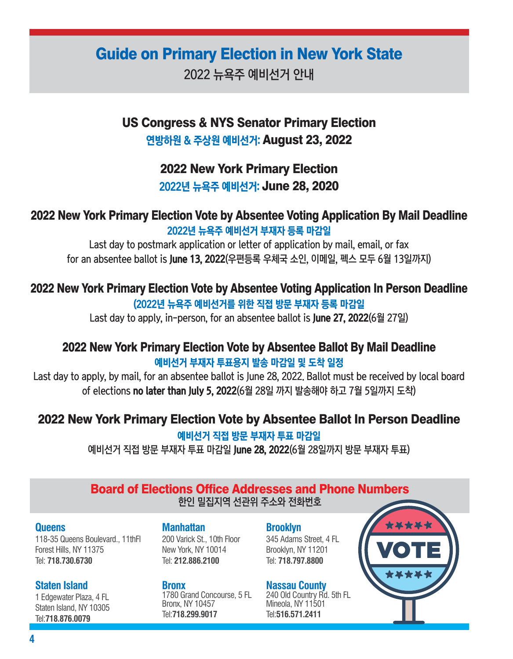## Guide on Primary Election in New York State

2022 뉴욕주 예비선거 안내

US Congress & NYS Senator Primary Election 연방하원 & 주상원 예비선거: August 23, 2022

## 2022 New York Primary Election

2022년 뉴욕주 예비선거: June 28, 2020

## 2022 New York Primary Election Vote by Absentee Voting Application By Mail Deadline 2022년 뉴욕주 예비선거 부재자 등록 마감일

Last day to postmark application or letter of application by mail, email, or fax for an absentee ballot is June 13, 2022(우편등록 우체국 소인, 이메일, 펙스 모두 6월 13일까지)

## 2022 New York Primary Election Vote by Absentee Voting Application In Person Deadline

(2022년 뉴욕주 예비선거를 위한 직접 방문 부재자 등록 마감일

Last day to apply, in-person, for an absentee ballot is June 27, 2022(6월 27일)

## 2022 New York Primary Election Vote by Absentee Ballot By Mail Deadline 예비선거 부재자 투표용지 발송 마감일 및 도착 일정

Last day to apply, by mail, for an absentee ballot is June 28, 2022. Ballot must be received by local board of elections no later than July 5, 2022(6월 28일 까지 발송해야 하고 7월 5일까지 도착)

## 2022 New York Primary Election Vote by Absentee Ballot In Person Deadline

#### 예비선거 직접 방문 부재자 투표 마감일

예비선거 직접 방문 부재자 투표 마감일 June 28, 2022(6월 28일까지 방문 부재자 투표)

## Board of Elections Office Addresses and Phone Numbers

한인 밀집지역 선관위 주소와 전화번호

#### **Queens**

118-35 Queens Boulevard., 11thFl Forest Hills, NY 11375 Tel: **718.730.6730**

#### **Staten Island**

1 Edgewater Plaza, 4 FL Staten Island, NY 10305 Tel:**718.876.0079**

#### **Manhattan**

200 Varick St., 10th Floor New York, NY 10014 Tel: **212.886.2100**

#### **Bronx**

1780 Grand Concourse, 5 FL Bronx, NY 10457 Tel:**718.299.9017**

**Brooklyn** 345 Adams Street, 4 FL

Brooklyn, NY 11201 Tel: **718.797.8800**

#### **Nassau County**

240 Old Country Rd. 5th FL Mineola, NY 11501 Tel:**516.571.2411**

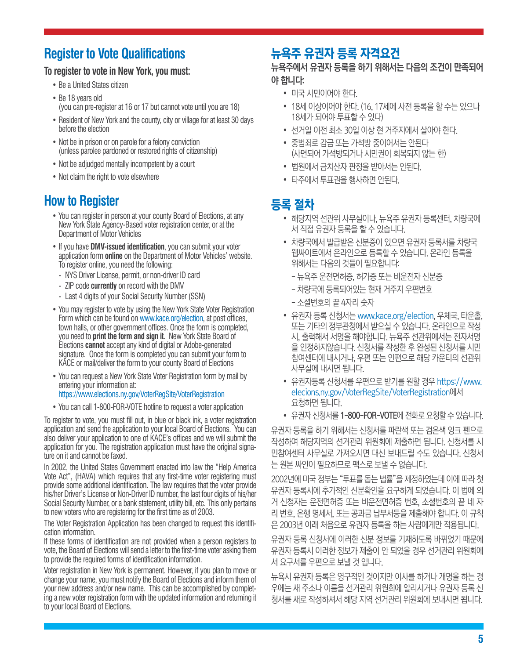## **Register to Vote Qualifications**

#### **To register to vote in New York, you must:**

- Be a United States citizen
- Be 18 years old (you can pre-register at 16 or 17 but cannot vote until you are 18)
- Resident of New York and the county, city or village for at least 30 days before the election
- Not be in prison or on parole for a felony conviction (unless parolee pardoned or restored rights of citizenship)
- Not be adjudged mentally incompetent by a court
- Not claim the right to vote elsewhere

## **How to Register**

- You can register in person at your county Board of Elections, at any New York State Agency-Based voter registration center, or at the Department of Motor Vehicles
- If you have **DMV-issued identification**, you can submit your voter application form **online** on the Department of Motor Vehicles' website. To register online, you need the following:
	- NYS Driver License, permit, or non-driver ID card
- ZIP code **currently** on record with the DMV
- Last 4 digits of your Social Security Number (SSN)
- You may register to vote by using the New York State Voter Registration Form which can be found on www.kace.org/election, at post offices, town halls, or other government offices. Once the form is completed, you need to **print the form and sign it**. New York State Board of Elections **cannot** accept any kind of digital or Adobe-generated signature. Once the form is completed you can submit your form to KACE or mail/deliver the form to your county Board of Elections
- You can request a New York State Voter Registration form by mail by entering your information at:

#### https://www.elections.ny.gov/VoterRegSite/VoterRegistration

• You can call 1-800-FOR-VOTE hotline to request a voter application

To register to vote, you must fill out, in blue or black ink, a voter registration application and send the application to your local Board of Elections. You can also deliver your application to one of KACE's offices and we will submit the application for you. The registration application must have the original signature on it and cannot be faxed.

In 2002, the United States Government enacted into law the "Help America Vote Act", (HAVA) which requires that any first-time voter registering must provide some additional identification. The law requires that the voter provide his/her Driver's License or Non-Driver ID number, the last four digits of his/her Social Security Number, or a bank statement, utility bill, etc. This only pertains to new voters who are registering for the first time as of 2003.

The Voter Registration Application has been changed to request this identification information.

If these forms of identification are not provided when a person registers to vote, the Board of Elections will send a letter to the first-time voter asking them to provide the required forms of identification information.

Voter registration in New York is permanent. However, if you plan to move or change your name, you must notify the Board of Elections and inform them of your new address and/or new name. This can be accomplished by completing a new voter registration form with the updated information and returning it to your local Board of Elections.

## 뉴욕주 유권자 등록 자격요건

#### 뉴욕주에서 유권자 등록을 하기 위해서는 다음의 조건이 만족되어 야 합니다:

- 미국 시민이어야 한다.
- 18세 이상이어야 한다. (16, 17세에 사전 등록을 할 수는 있으나 18세가 되어야 투표할 수 있다)
- 선거일 이전 최소 30일 이상 현 거주지에서 살아야 한다.
- 중범죄로 감금 또는 가석방 중이어서는 안된다 (사면되어 가석방되거나 시민권이 회복되지 않는 한)
- 법원에서 금치산자 판정을 받아서는 안된다.
- 타주에서 투표권을 행사하면 안된다.

## 등록 절차

- 해당지역 선관위 사무실이나, 뉴욕주 유권자 등록센터, 차량국에 서 직접 유권자 등록을 할 수 있습니다.
- 차량국에서 발급받은 신분증이 있으면 유권자 등록서를 차량국 웹싸이트에서 온라인으로 등록할 수 있습니다. 온라인 등록을 위해서는 다음의 것들이 필요합니다:
	- 뉴욕주 운전면허증, 허가증 또는 비운전자 신분증
	- 차량국에 등록되어있는 현재 거주지 우편번호
	- 소셜번호의 끝 4자리 숫자
- 유권자 등록 신청서는 www.kace.org/election, 우체국, 타운홀, 또는 기타의 정부관청에서 받으실 수 있습니다. 온라인으로 작성 시, 출력해서 서명을 해야합니다. 뉴욕주 선관위에서는 전자서명 을 인정하지않습니다. 신청서를 작성한 후 완성된 신청서를 시민 참여센터에 내시거나, 우편 또는 인편으로 해당 카운티의 선관위 사무실에 내시면 됩니다.
- 유권자등록 신청서를 우편으로 받기를 원할 경우 https://www. elecions.ny.gov/VoterRegSite/VoterRegistration에서 요청하면 됩니다.
- 유권자 신청서를 1-800-FOR-VOTE에 전화로 요청할 수 있습니다.

유권자 등록을 하기 위해서는 신청서를 파란색 또는 검은색 잉크 펜으로 작성하여 해당지역의 선거관리 위원회에 제출하면 됩니다. 신청서를 시 민참여센터 사무실로 가져오시면 대신 보내드릴 수도 있습니다. 신청서 는 원본 싸인이 필요하므로 팩스로 보낼 수 없습니다.

2002년에 미국 정부는 "투표를 돕는 법률"을 제정하였는데 이에 따라 첫 유권자 등록시에 추가적인 신분확인을 요구하게 되었습니다. 이 법에 의 거 신청자는 운전면허증 또는 비운전면허증 번호, 소셜번호의 끝 네 자 리 번호, 은행 명세서, 또는 공과금 납부서등을 제출해야 합니다. 이 규칙 은 2003년 이래 처음으로 유권자 등록을 하는 사람에게만 적용됩니다.

유권자 등록 신청서에 이러한 신분 정보를 기재하도록 바뀌었기 때문에 유권자 등록시 이러한 정보가 제출이 안 되었을 경우 선거관리 위원회에 서 요구서를 우편으로 보낼 것 입니다.

뉴욕시 유권자 등록은 영구적인 것이지만 이사를 하거나 개명을 하는 경 우에는 새 주소나 이름을 선거관리 위원회에 알리시거나 유권자 등록 신 청서를 새로 작성하셔서 해당 지역 선거관리 위원회에 보내시면 됩니다.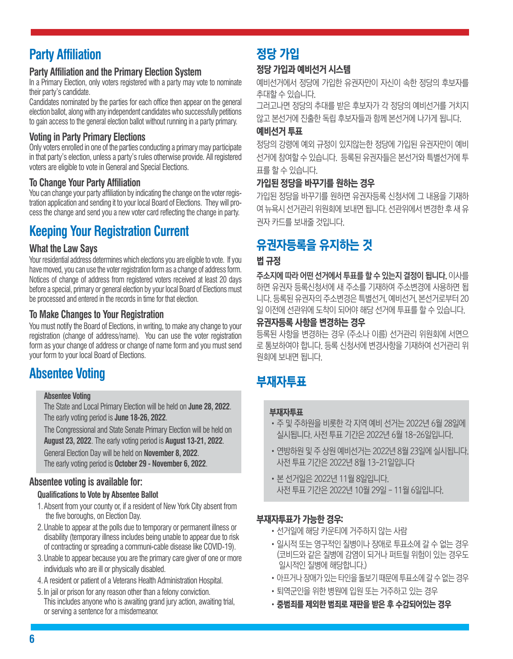## **Party Affiliation**

### **Party Affiliation and the Primary Election System**

In a Primary Election, only voters registered with a party may vote to nominate their party's candidate.

Candidates nominated by the parties for each office then appear on the general election ballot, along with any independent candidates who successfully petitions to gain access to the general election ballot without running in a party primary.

### **Voting in Party Primary Elections**

Only voters enrolled in one of the parties conducting a primary may participate in that party's election, unless a party's rules otherwise provide. All registered voters are eligible to vote in General and Special Elections.

### **To Change Your Party Affiliation**

You can change your party affiliation by indicating the change on the voter registration application and sending it to your local Board of Elections. They will process the change and send you a new voter card reflecting the change in party.

## **Keeping Your Registration Current**

### **What the Law Says**

Your residential address determines which elections you are eligible to vote. If you have moved, you can use the voter registration form as a change of address form. Notices of change of address from registered voters received at least 20 days before a special, primary or general election by your local Board of Elections must be processed and entered in the records in time for that election.

### **To Make Changes to Your Registration**

You must notify the Board of Elections, in writing, to make any change to your registration (change of address/name). You can use the voter registration form as your change of address or change of name form and you must send your form to your local Board of Elections.

## **Absentee Voting**

#### **Absentee Voting**

The State and Local Primary Election will be held on **June 28, 2022**. The early voting period is **June 18-26, 2022**.

The Congressional and State Senate Primary Election will be held on **August 23, 2022**. The early voting period is **August 13-21, 2022**.

General Election Day will be held on **November 8, 2022**. The early voting period is **October 29 - November 6, 2022**.

### **Absentee voting is available for:**

#### **Qualifications to Vote by Absentee Ballot**

- 1.Absent from your county or, if a resident of New York City absent from the five boroughs, on Election Day.
- 2.Unable to appear at the polls due to temporary or permanent illness or disability (temporary illness includes being unable to appear due to risk of contracting or spreading a communi-cable disease like COVID-19).
- 3.Unable to appear because you are the primary care giver of one or more individuals who are ill or physically disabled.
- 4.A resident or patient of a Veterans Health Administration Hospital.
- 5.In jail or prison for any reason other than a felony conviction. This includes anyone who is awaiting grand jury action, awaiting trial, or serving a sentence for a misdemeanor.

# 정당 가입

## 정당 가입과 예비선거 시스템

예비선거에서 정당에 가입한 유권자만이 자신이 속한 정당의 후보자를 추대할 수 있습니다.

그러고나면 정당의 추대를 받은 후보자가 각 정당의 예비선거를 거치지 않고 본선거에 진출한 독립 후보자들과 함께 본선거에 나가게 됩니다.

#### 예비선거 투표

정당의 강령에 예외 규정이 있지않는한 정당에 가입된 유권자만이 예비 선거에 참여할 수 있습니다. 등록된 유권자들은 본선거와 특별선거에 투 표를 할 수 있습니다.

### 가입된 정당을 바꾸기를 원하는 경우

가입된 정당을 바꾸기를 원하면 유권자등록 신청서에 그 내용을 기재하 여 뉴욕시 선거관리 위원회에 보내면 됩니다. 선관위에서 변경한 후 새 유 권자 카드를 보내줄 것입니다.

## 유권자등록을 유지하는 것

#### 법 규정

주소지에 따라 어떤 선거에서 투표를 할 수 있는지 결정이 됩니다. 이사를 하면 유권자 등록신청서에 새 주소를 기재하여 주소변경에 사용하면 됩 니다. 등록된 유권자의 주소변경은 특별선거, 예비선거, 본선거로부터 20 일 이전에 선관위에 도착이 되어야 해당 선거에 투표를 할 수 있습니다.

#### 유권자등록 사항을 변경하는 경우

등록된 사항을 변경하는 경우 (주소나 이름) 선거관리 위원회에 서면으 로 통보하여야 합니다. 등록 신청서에 변경사항을 기재하여 선거관리 위 원회에 보내면 됩니다.

## 부재자투표

#### 부재자투표

- •주 및 주하원을 비롯한 각 지역 예비 선거는 2022년 6월 28일에 실시됩니다. 사전 투표 기간은 2022년 6월 18-26일입니다.
- •연방하원 및 주 상원 예비선거는 2022년 8월 23일에 실시됩니다. 사전 투표 기간은 2022년 8월 13-21일입니다
- •본 선거일은 2022년 11월 8일입니다. 사전 투표 기간은 2022년 10월 29일 - 11월 6일입니다.

### 부재자투표가 가능한 경우:

- •선거일에 해당 카운티에 거주하지 않는 사람
- •일시적 또는 영구적인 질병이나 장애로 투표소에 갈 수 없는 경우 (코비드와 같은 질병에 감염이 되거나 퍼트릴 위험이 있는 경우도 일시적인 질병에 해당합니다.)
- •아프거나 장애가 있는 타인을 돌보기 때문에 투표소에 갈 수 없는 경우
- •퇴역군인을 위한 병원에 입원 또는 거주하고 있는 경우
- •중범죄를 제외한 범죄로 재판을 받은 후 수감되어있는 경우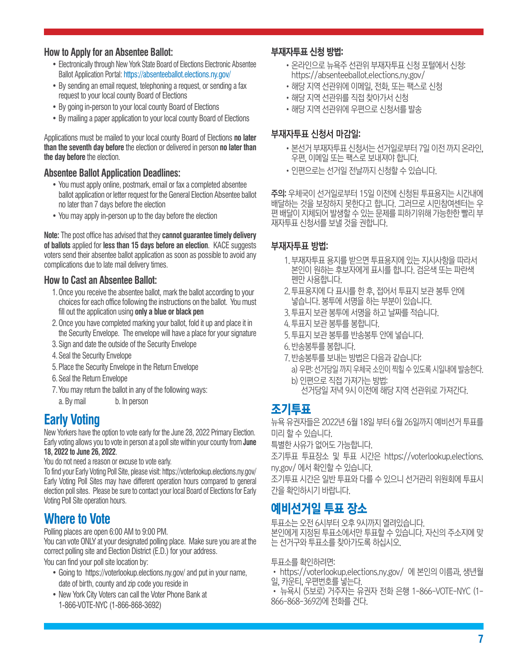#### **How to Apply for an Absentee Ballot:**

- Electronically through New York State Board of Elections Electronic Absentee Ballot Application Portal: https://absenteeballot.elections.ny.gov/
- By sending an email request, telephoning a request, or sending a fax request to your local county Board of Elections
- By going in-person to your local county Board of Elections
- By mailing a paper application to your local county Board of Elections

Applications must be mailed to your local county Board of Elections **no later than the seventh day before** the election or delivered in person **no later than the day before** the election.

#### **Absentee Ballot Application Deadlines:**

- You must apply online, postmark, email or fax a completed absentee ballot application or letter request for the General Election Absentee ballot no later than 7 days before the election
- You may apply in-person up to the day before the election

**Note:** The post office has advised that they **cannot guarantee timely delivery of ballots** applied for **less than 15 days before an election**. KACE suggests voters send their absentee ballot application as soon as possible to avoid any complications due to late mail delivery times.

#### **How to Cast an Absentee Ballot:**

- 1.Once you receive the absentee ballot, mark the ballot according to your choices for each office following the instructions on the ballot. You must fill out the application using **only a blue or black pen**
- 2.Once you have completed marking your ballot, fold it up and place it in the Security Envelope. The envelope will have a place for your signature
- 3.Sign and date the outside of the Security Envelope
- 4.Seal the Security Envelope
- 5.Place the Security Envelope in the Return Envelope
- 6.Seal the Return Envelope
- 7.You may return the ballot in any of the following ways:
	- a. By mail b. In person

## **Early Voting**

New Yorkers have the option to vote early for the June 28, 2022 Primary Election. Early voting allows you to vote in person at a poll site within your county from **June 18, 2022 to June 26, 2022**.

You do not need a reason or excuse to vote early.

To find your Early Voting Poll Site, please visit: https://voterlookup.elections.ny.gov/ Early Voting Poll Sites may have different operation hours compared to general election poll sites. Please be sure to contact your local Board of Elections for Early Voting Poll Site operation hours.

## **Where to Vote**

Polling places are open 6:00 AM to 9:00 PM.

You can vote ONLY at your designated polling place. Make sure you are at the correct polling site and Election District (E.D.) for your address.

You can find your poll site location by:

- Going to https://voterlookup.elections.ny.gov/ and put in your name, date of birth, county and zip code you reside in
- New York City Voters can call the Voter Phone Bank at 1-866-VOTE-NYC (1-866-868-3692)

#### 부재자투표 신청 방법:

- •온라인으로 뉴욕주 선관위 부재자투표 신청 포털에서 신청: https://absenteeballot.elections.ny.gov/
- •해당 지역 선관위에 이메일, 전화, 또는 팩스로 신청
- •해당 지역 선관위를 직접 찾아가서 신청
- •해당 지역 선관위에 우편으로 신청서를 발송

#### 부재자투표 신청서 마감일:

- •본선거 부재자투표 신청서는 선거일로부터 7일 이전 까지 온라인, 우편, 이메일 또는 팩스로 보내져야 합니다.
- •인편으로는 선거일 전날까지 신청할 수 있습니다.

주의: 우체국이 선거일로부터 15일 이전에 신청된 투표용지는 시간내에 배달하는 것을 보장하지 못한다고 합니다. 그러므로 시민참여센터는 우 편 배달이 지체되어 발생할 수 있는 문제를 피하기위해 가능한한 빨리 부 재자투표 신청서를 보낼 것을 권합니다.

#### 부재자투표 방법:

- 1. 부재자투표 용지를 받으면 투표용지에 있는 지시사항을 따라서 본인이 원하는 후보자에게 표시를 합니다. 검은색 또는 파란색 펜만 사용합니다.
- 2. 투표용지에 다 표시를 한 후, 접어서 투표지 보관 봉투 안에 넣습니다. 봉투에 서명을 하는 부분이 있습니다.
- 3. 투표지 보관 봉투에 서명을 하고 날짜를 적습니다.
- 4. 투표지 보관 봉투를 봉합니다.
- 5. 투표지 보관 봉투를 반송봉투 안에 넣습니다.
- 6. 반송봉투를 봉합니다.
- 7. 반송봉투를 보내는 방법은 다음과 같습니다:
	- a) 우편: 선거당일 까지 우체국 소인이 찍힐 수 있도록 시일내에 발송한다.
	- b) 인편으로 직접 가져가는 방법:
		- 선거당일 저녁 9시 이전에 해당 지역 선관위로 가져간다.

## 조기투표

뉴욕 유권자들은 2022년 6월 18일 부터 6월 26일까지 예비선거 투표를 미리 할 수 있습니다.

특별한 사유가 없어도 가능합니다.

조기투표 투표장소 및 투표 시간은 https://voterlookup.elections. ny.gov/ 에서 확인할 수 있습니다.

조기투표 시간은 일반 투표와 다를 수 있으니 선거관리 위원회에 투표시 간을 확인하시기 바랍니다.

## 예비선거일 투표 장소

투표소는 오전 6시부터 오후 9시까지 열려있습니다. 본인에게 지정된 투표소에서만 투표할 수 있습니다. 자신의 주소지에 맞 는 선거구와 투표소를 찾아가도록 하십시오.

투표소를 확인하려면:

• https://voterlookup.elections.ny.gov/ 에 본인의 이름과, 생년월 일, 카운티, 우편번호를 넣는다.

• 뉴욕시 (5보로) 거주자는 유권자 전화 은행 1-866-VOTE-NYC (1- 866-868-3692)에 전화를 건다.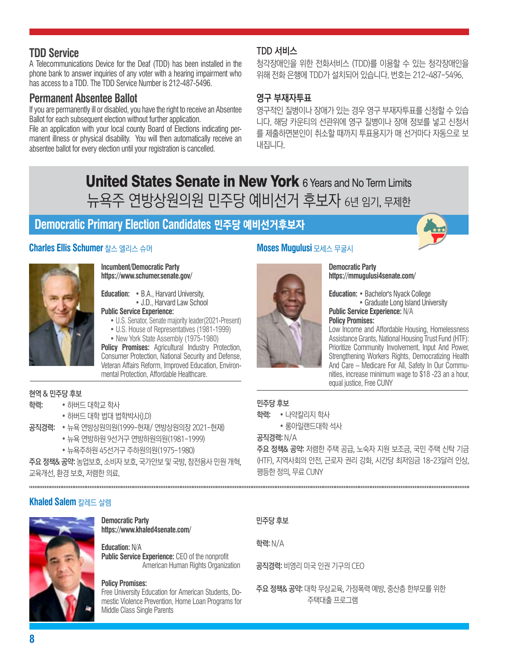### **TDD Service**

A Telecommunications Device for the Deaf (TDD) has been installed in the phone bank to answer inquiries of any voter with a hearing impairment who has access to a TDD. The TDD Service Number is 212-487-5496.

### **Permanent Absentee Ballot**

If you are permanently ill or disabled, you have the right to receive an Absentee Ballot for each subsequent election without further application.

File an application with your local county Board of Elections indicating permanent illness or physical disability. You will then automatically receive an absentee ballot for every election until your registration is cancelled.

#### TDD 서비스

청각장애인을 위한 전화서비스 (TDD)를 이용할 수 있는 청각장애인을 위해 전화 은행에 TDD가 설치되어 있습니다. 번호는 212-487-5496.

#### 영구 부재자투표

영구적인 질병이나 장애가 있는 경우 영구 부재자투표를 신청할 수 있습 니다. 해당 카운티의 선관위에 영구 질병이나 장애 정보를 넣고 신청서 를 제출하면본인이 취소할 때까지 투표용지가 매 선거마다 자동으로 보 내집니다.

## **United States Senate in New York 6 Years and No Term Limits** 뉴욕주 연방상원의원 민주당 예비선거 후보자 6년 임기, 무제한

## **Democratic Primary Election Candidates** 민주당 예비선거후보자

#### **Charles Ellis Schumer** 찰스 엘리스 슈머



#### **Incumbent/Democratic Party https://www.schumer.senate.gov/**

**Education:** • B.A., Harvard University, • J.D., Harvard Law School **Public Service Experience:**

- U.S. Senator, Senate majority leader(2021-Present)
- U.S. House of Representatives (1981-1999)
- New York State Assembly (1975-1980)

Policy Promises: Agricultural Industry Protection, Consumer Protection, National Security and Defense, Veteran Affairs Reform, Improved Education, Environmental Protection, Affordable Healthcare.

#### 현역 & 민주당 후보

- 학력: 하버드 대학교 학사
	- 하버드 대학 법대 법학박사(J.D)
- 공직경력: 뉴욕 연방상원의원(1999-현재/ 연방상원의장 2021-현재)
	- 뉴욕 연방하원 9선거구 연방하원의원(1981-1999)
	- 뉴욕주하원 45선거구 주하원의원(1975-1980)

주요 정책& 공약: 농업보호, 소비자 보호, 국가안보 및 국방, 참전용사 민원 개혁, 교육개선, 환경 보호, 저렴한 의료.

#### **Khaled Salem** 칼레드 살렘



**Democratic Party https://www.khaled4senate.com/**

**Education:** N/A **Public Service Experience:** CEO of the nonprofit American Human Rights Organization

#### **Policy Promises:**

Free University Education for American Students, Domestic Violence Prevention, Home Loan Programs for Middle Class Single Parents

#### **Moses Mugulusi** 모세스 무굴시

#### **Democratic Party https://mmugulusi4senate.com/**

**Education:** • Bachelor's Nyack College • Graduate Long Island University **Public Service Experience:** N/A **Policy Promises:** 

Low Income and Affordable Housing, Homelessness Assistance Grants, National Housing Trust Fund (HTF): Prioritize Community Involvement, Input And Power, Strengthening Workers Rights, Democratizing Health And Care – Medicare For All, Safety In Our Communities, increase minimum wage to \$18 -23 an a hour, equal justice, Free CUNY

#### 민주당 후보

학력: • 나약칼리지 학사

• 롱아일랜드대학 석사

#### 공직경력: N/A

주요 정책& 공약: 저렴한 주택 공급, 노숙자 지원 보조금, 국민 주택 신탁 기금 (HTF), 지역사회의 안전, 근로자 권리 강화, 시간당 최저임금 18-23달러 인상, 평등한 정의, 무료 CUNY

#### 민주당 후보

학력: N/A

공직경력: 비영리 미국 인권 기구의 CEO

주요 정책& 공약: 대학 무상교육, 가정폭력 예방, 중산층 한부모를 위한 주택대출 프로그램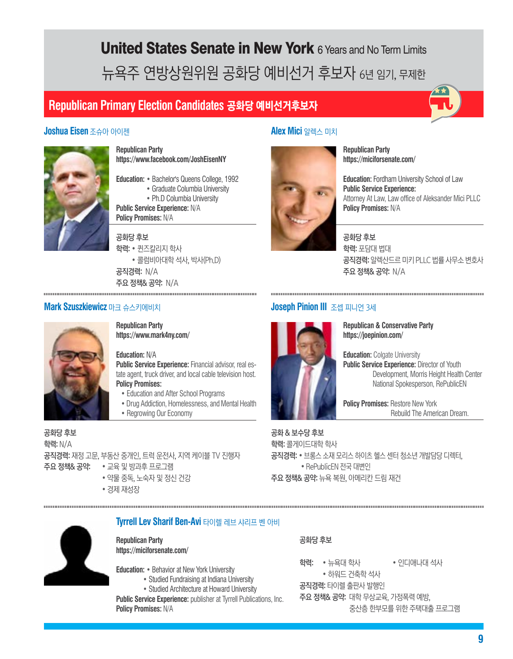# **United States Senate in New York 6 Years and No Term Limits** 뉴욕주 연방상원위원 공화당 예비선거 후보자 6년 임기, 무제한

## **Republican Primary Election Candidates** 공화당 예비선거후보자



#### **Joshua Eisen** 조슈아 아이젠



**Republican Party https://www.facebook.com/JoshEisenNY**

**Education:** • Bachelor's Queens College, 1992 • Graduate Columbia University • Ph.D Columbia University

**Public Service Experience:** N/A **Policy Promises:** N/A

공화당 후보 학력: • 퀸즈칼리지 학사 • 콜럼비아대학 석사, 박사(Ph.D) 공직경력: N/A 주요 정책& 공약: N/A

**Alex Mici** 알렉스 미치



**Republican Party https://miciforsenate.com/**

**Education:** Fordham University School of Law **Public Service Experience:** Attorney At Law, Law office of Aleksander Mici PLLC **Policy Promises:** N/A

#### 공화당 후보

학력: 포담대 법대 공직경력: 알렉산드르 미키 PLLC 법률 사무소 변호사 주요 정책& 공약: N/A



**Mark Szuszkiewicz** 마크 슈스키에비치

**Republican Party https://www.mark4ny.com/**

#### **Education:** N/A

**Public Service Experience:** Financial advisor, real estate agent, truck driver, and local cable television host. **Policy Promises:** 

- Education and After School Programs
- Drug Addiction, Homelessness, and Mental Health
- Regrowing Our Economy

공화당 후보 학력: N/A 공직경력: 재정 고문, 부동산 중개인, 트럭 운전사, 지역 케이블 TV 진행자 주요 정책& 공약: • 교육 및 방과후 프로그램

- 약물 중독, 노숙자 및 정신 건강
- 경제 재성장



**Republican & Conservative Party https://joepinion.com/**

**Education: Colgate University Public Service Experience: Director of Youth**  Development, Morris Height Health Center National Spokesperson, RePublicEN

**Policy Promises: Restore New York** Rebuild The American Dream.

공화 & 보수당 후보 학력: 콜게이드대학 학사 공직경력: • 브롱스 소재 모리스 하이츠 헬스 센터 청소년 개발담당 디렉터, • RePublicEN 전국 대변인 주요 정책& 공약: 뉴욕 복원, 아메리칸 드림 재건



**Tyrrell Lev Sharif Ben-Avi** 타이렐 레브 샤리프 벤 아비

**Republican Party https://miciforsenate.com/**

**Education:** • Behavior at New York University

- Studied Fundraising at Indiana University
- Studied Architecture at Howard University

**Public Service Experience:** publisher at Tyrrell Publications, Inc. **Policy Promises:** N/A

#### 공화당 후보

학력: • 뉴욕대 학사 • 인디애나대 석사

• 하워드 건축학 석사 공직경력: 타이렐 출판사 발행인

주요 정책& 공약: 대학 무상교육, 가정폭력 예방,

중산층 한부모를 위한 주택대출 프로그램

## **Joseph Pinion III** 조셉 피니언 3세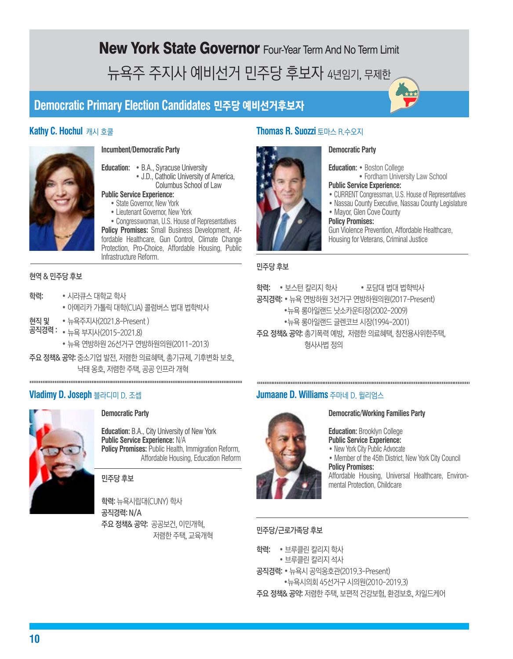New York State Governor Four-Year Term And No Term Limit 뉴욕주 주지사 예비선거 민주당 후보자 4년임기, 무제한

## **Democratic Primary Election Candidates** 민주당 예비선거후보자



#### **Incumbent/Democratic Party**

**Education:** • B.A., Syracuse University • J.D., Catholic University of America, Columbus School of Law

#### **Public Service Experience:**

- State Governor, New York
- Lieutenant Governor, New York

• Congresswoman, U.S. House of Representatives **Policy Promises:** Small Business Development, Affordable Healthcare, Gun Control, Climate Change Protection, Pro-Choice, Affordable Housing, Public Infrastructure Reform.

#### 현역 & 민주당 후보

- 학력: 시라큐스 대학교 학사
	- 아메리카 가톨릭 대학(CUA) 콜럼버스 법대 법학박사
- 현직 및 뉴욕주지사(2021.8-Present )
- 공직경력 : 뉴욕 부지사(2015-2021.8) • 뉴욕 연방하원 26선거구 연방하원의원(2011-2013)
- 주요 정책& 공약: 중소기업 발전, 저렴한 의료혜택, 총기규제, 기후변화 보호, 낙태 옹호, 저렴한 주택, 공공 인프라 개혁



#### **Democratic Party**

**Education:** B.A., City University of New York **Public Service Experience:** N/A **Policy Promises:** Public Health, Immigration Reform, Affordable Housing, Education Reform

민주당 후보

학력: 뉴욕시립대(CUNY) 학사 공직경력: N/A 주요 정책& 공약: 공공보건, 이민개혁, 저렴한 주택, 교육개혁

#### **Kathy C. Hochul** 캐시 호쿨 **Thomas R. Suozzi** 토마스 R.수오지

#### **Democratic Party**

**Education:** • Boston College • Fordham University Law School

- **Public Service Experience:**
- CURRENT Congressman, U.S. House of Representatives
- Nassau County Executive, Nassau County Legislature
- Mayor, Glen Cove County

#### **Policy Promises:**

Gun Violence Prevention, Affordable Healthcare, Housing for Veterans, Criminal Justice

#### 민주당 후보

학력: • 보스턴 칼리지 학사 • 포담대 법대 법학박사

공직경력: • 뉴욕 연방하원 3선거구 연방하원의원(2017-Present)

- •뉴욕 롱아일랜드 낫소카운티장(2002-2009)
- •뉴욕 롱아일랜드 글렌코브 시장(1994-2001)
- 주요 정책& 공약: 총기폭력 예방, 저렴한 의료혜택, 참전용사위한주택, 형사사법 정의

#### **Vladimy D. Joseph** 블라디미 D. 조셉 **Jumaane D. Williams** 주마네 D. 윌리엄스



#### **Democratic/Working Families Party**

**Education:** Brooklyn College **Public Service Experience:**

• New York City Public Advocate

• Member of the 45th District, New York City Council **Policy Promises:** 

Affordable Housing, Universal Healthcare, Environmental Protection, Childcare

#### 민주당/근로가족당 후보

학력: • 브루클린 칼리지 학사

- 브루클린 칼리지 석사
- 공직경력: 뉴욕시 공익옹호관(2019.3-Present)

•뉴욕시의회 45선거구 시의원(2010-2019.3)

주요 정책& 공약: 저렴한 주택, 보편적 건강보험, 환경보호, 차일드케어

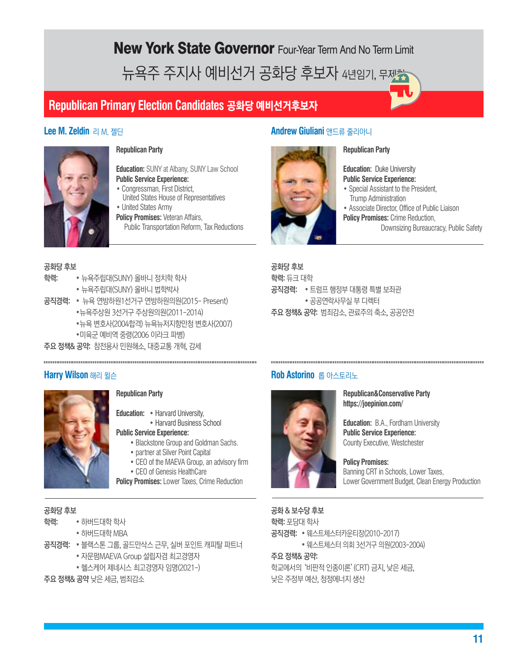New York State Governor Four-Year Term And No Term Limit 뉴욕주 주지사 예비선거 공화당 후보자 4년임기, 무제를

## **Republican Primary Election Candidates** 공화당 예비선거후보자

#### **Lee M. Zeldin** 리 M. 젤딘



#### **Republican Party**

**Education:** SUNY at Albany, SUNY Law School **Public Service Experience:**

- Congressman, First District, United States House of Representatives
- United States Army **Policy Promises:** Veteran Affairs, Public Transportation Reform, Tax Reductions

#### 공화당 후보

- 학력: 뉴욕주립대(SUNY) 올바니 정치학 학사
	- 뉴욕주립대(SUNY) 올바니 법학박사
- 공직경력: 뉴욕 연방하원1선거구 연방하원의원(2015- Present)
	- •뉴욕주상원 3선거구 주상원의원(2011-2014)
		- •뉴욕 변호사(2004합격) 뉴욕뉴저지항만청 변호사(2007)
		- •미육군 예비역 중령(2006 이라크 파병)
- 주요 정책& 공약: 참전용사 민원해소, 대중교통 개혁, 감세

#### **Harry Wilson** 해리 윌슨



#### **Republican Party**

**Education:** • Harvard University,

 • Harvard Business School **Public Service Experience:**

- Blackstone Group and Goldman Sachs.
- partner at Silver Point Capital
- CEO of the MAEVA Group, an advisory firm
- CEO of Genesis HealthCare
- **Policy Promises:** Lower Taxes, Crime Reduction

#### 공화당 후보

- 학력: 하버드대학 학사
	- 하버드대학 MBA
- 공직경력: 블랙스톤 그룹, 골드만삭스 근무, 실버 포인트 캐피탈 파트너
	- 자문펌MAEVA Group 설립자겸 최고경영자
	- 헬스케어 제네시스 최고경영자 임명(2021-)

주요 정책& 공약 낮은 세금, 범죄감소

#### **Andrew Giuliani** 앤드류 줄리아니



#### **Republican Party**

**Education:** Duke University **Public Service Experience:**

- Special Assistant to the President, Trump Administration
- Associate Director, Office of Public Liaison
- **Policy Promises: Crime Reduction.** Downsizing Bureaucracy, Public Safety

공화당 후보 학력: 듀크 대학 공직경력: • 트럼프 행정부 대통령 특별 보좌관 • 공공연락사무실 부 디렉터 주요 정책& 공약: 범죄감소, 관료주의 축소, 공공안전

#### **Rob Astorino** 롭 아스토리노



#### **Republican&Conservative Party https://joepinion.com/**

**Education:** B.A., Fordham University **Public Service Experience:**  County Executive, Westchester

**Policy Promises:**  Banning CRT in Schools, Lower Taxes, Lower Government Budget, Clean Energy Production

#### 공화 & 보수당 후보

학력: 포담대 학사

공직경력: • 웨스트체스터카운티장(2010-2017)

• 웨스트체스터 의회 3선거구 의원(2003-2004)

#### 주요 정책& 공약:

학교에서의 '비판적 인종이론'(CRT) 금지, 낮은 세금, 낮은 주정부 예산, 청정에너지 생산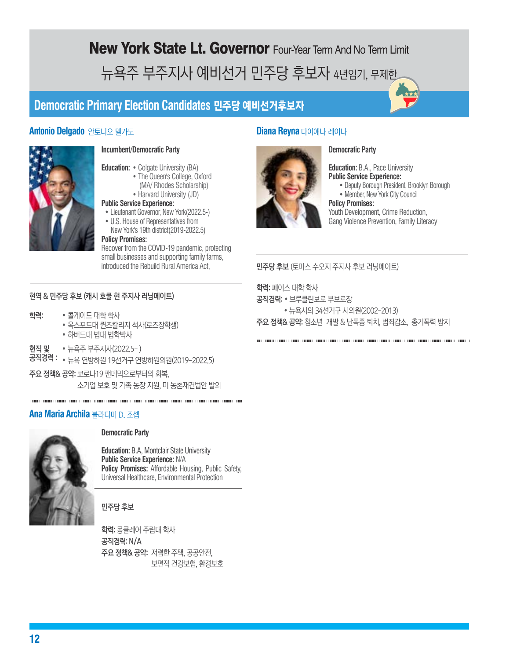## New York State Lt. Governor Four-Year Term And No Term Limit 뉴욕주 부주지사 예비선거 민주당 후보자 4년임기, 무제한

## **Democratic Primary Election Candidates** 민주당 예비선거후보자

#### **Antonio Delgado** 안토니오 델가도 **Diana Reyna** 다이애나 레이나



#### **Incumbent/Democratic Party**

- **Education:** Colgate University (BA)
	- The Queen's College, Oxford
	- (MA/ Rhodes Scholarship) • Harvard University (JD)
- **Public Service Experience:**
- Lieutenant Governor, New York(2022.5-)
- U.S. House of Representatives from
- New York's 19th district(2019-2022.5)

#### **Policy Promises:**

Recover from the COVID-19 pandemic, protecting small businesses and supporting family farms, introduced the Rebuild Rural America Act,

#### 현역 & 민주당 후보 (캐시 호쿨 현 주지사 러닝메이트)

- 학력: 콜게이드 대학 학사
	- 옥스포드대 퀸즈칼리지 석사(로즈장학생) • 하버드대 법대 법학박사
- 현직 및 뉴욕주 부주지사(2022.5-)
- 공직경력 : 뉴욕 연방하원 19선거구 연방하원의원(2019-2022.5)
- 주요 정책& 공약: 코로나19 팬데믹으로부터의 회복, 소기업 보호 및 가족 농장 지원, 미 농촌재건법안 발의

#### **Ana Maria Archila** 블라디미 D. 조셉



#### **Democratic Party**

**Education:** B.A, Montclair State University **Public Service Experience:** N/A **Policy Promises:** Affordable Housing, Public Safety, Universal Healthcare, Environmental Protection

#### 민주당 후보

학력: 몽클레어 주립대 학사 공직경력: N/A 주요 정책& 공약: 저렴한 주택, 공공안전, 보편적 건강보험, 환경보호

#### **Democratic Party**



**Education:** B.A., Pace University **Public Service Experience:** • Deputy Borough President, Brooklyn Borough • Member, New York City Council

**Policy Promises:**  Youth Development, Crime Reduction, Gang Violence Prevention, Family Literacy

민주당 후보 (토마스 수오지 주지사 후보 러닝메이트)

학력: 페이스 대학 학사

- 공직경력: 브루클린보로 부보로장
- 뉴욕시의 34선거구 시의원(2002-2013) 주요 정책& 공약: 청소년 개발 & 난독증 퇴치, 범죄감소, 총기폭력 방지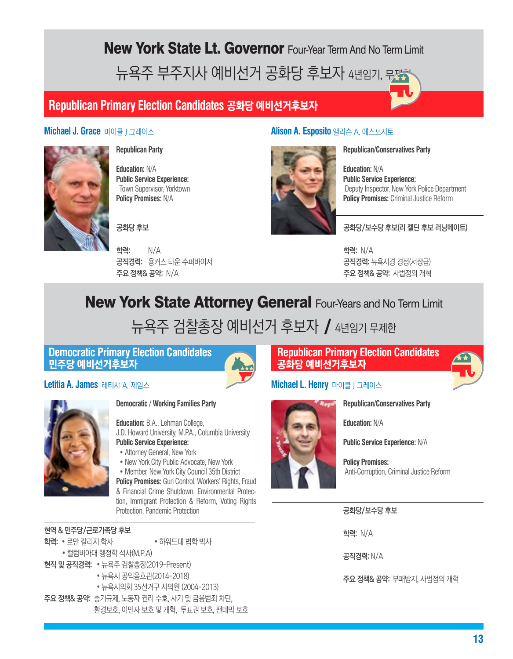## New York State Lt. Governor Four-Year Term And No Term Limit 뉴욕주 부주지사 예비선거 공화당 후보자 4년임기, 무거

## **Republican Primary Election Candidates** 공화당 예비선거후보자



**Republican Party**

**Education:** N/A **Public Service Experience:** Town Supervisor, Yorktown **Policy Promises:** N/A

공화당 후보

학력: N/A 공직경력: 용커스 타운 수퍼바이저 주요 정책& 공약: N/A

#### **Michael J. Grace** 마이클 J 그레이스 **Alison A. Esposito** 앨리슨 A. 에스포지토



**Republican/Conservatives Party**

**Education:** N/A **Public Service Experience:** Deputy Inspector, New York Police Department **Policy Promises:** Criminal Justice Reform

#### 공화당/보수당 후보(리 젤딘 후보 러닝메이트)

학력: N/A 공직경력: 뉴욕시경 경정(서장급) 주요 정책& 공약: 사법정의 개혁

## **New York State Attorney General Four-Years and No Term Limit**

## 뉴욕주 검찰총장 예비선거 후보자 / 4년임기 무제한

#### **Democratic Primary Election Candidates** 민주당 예비선거후보자





#### **Republican Primary Election Candidates** 공화당 예비선거후보자

## **Michael L. Henry** 마이클 J 그레이스



**Education:** N/A

**Public Service Experience:** N/A

**Republican/Conservatives Party**

**Policy Promises:** Anti-Corruption, Criminal Justice Reform

#### 공화당/보수당 후보

학력: N/A

공직경력: N/A

주요 정책& 공약: 부패방지, 사법정의 개혁



#### **Democratic / Working Families Party**

**Education:** B.A., Lehman College, J.D. Howard University, M.P.A., Columbia University **Public Service Experience:**

- Attorney General, New York
- New York City Public Advocate, New York
- Member, New York City Council 35th District

**Policy Promises: Gun Control, Workers' Rights, Fraud** & Financial Crime Shutdown, Environmental Protection, Immigrant Protection & Reform, Voting Rights Protection, Pandemic Protection

현역 & 민주당/근로가족당 후보

- 학력: 르만 칼리지 학사 하워드대 법학 박사
	- 컬럼비아대 행정학 석사(M.P.A)
- 현직 및 공직경력: 뉴욕주 검찰총장(2019-Present)
	- 뉴욕시 공익옹호관(2014-2018)
	- 뉴욕시의회 35선거구 시의원 (2004-2013)
- 주요 정책& 공약: 총기규제, 노동자 권리 수호, 사기 및 금융범죄 차단, 환경보호, 이민자 보호 및 개혁, 투표권 보호, 팬데믹 보호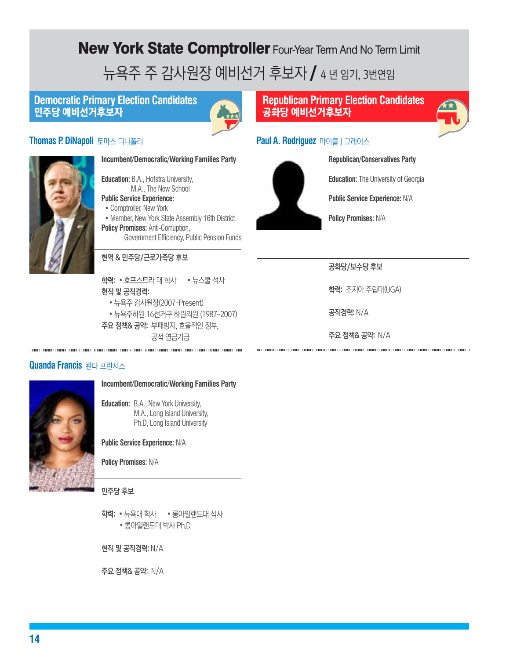# New York State Comptroller Four-Year Term And No Term Limit 뉴욕주 주 감사원장 예비선거 후보자 / 4년 임기, 3번연임

### **Democratic Primary Election Candidates** 민주당 예비선거후보자



### **Thomas P. DiNapoli** 토마스 디나폴리



**Incumbent/Democratic/Working Families Party**

**Education:** B.A., Hofstra University, M.A., The New School

**Public Service Experience:**

- Comptroller, New York
- Member, New York State Assembly 16th District **Policy Promises: Anti-Corruption,** Government Efficiency, Public Pension Funds

#### 현역 & 민주당/근로가족당 후보

학력: • 호프스트라 대 학사 • 뉴스쿨 석사 현직 및 공직경력:

- 뉴욕주 감사원장(2007-Present)
- 뉴욕주하원 16선거구 하원의원 (1987-2007) 주요 정책& 공약: 부패방지, 효율적인 정부,

공적 연금기금

#### **Quanda Francis** 콴다 프란시스



#### **Incumbent/Democratic/Working Families Party**

**Education:** B.A., New York University, M.A., Long Island University, Ph.D, Long Island University

**Public Service Experience:** N/A

**Policy Promises:** N/A

민주당 후보

학력: • 뉴욕대 학사 • 롱아일랜드대 석사 • 롱아일랜드대 박사 Ph.D

현직 및 공직경력: N/A

주요 정책& 공약: N/A

### **Republican Primary Election Candidates** 공화당 예비선거후보자



### **Paul A. Rodriguez** 마이클 J 그레이스



**Republican/Conservatives Party**

**Education:** The University of Georgia

**Public Service Experience:** N/A

**Policy Promises:** N/A

공화당/보수당 후보

학력: 조지아 주립대(UGA)

공직경력: N/A

주요 정책& 공약: N/A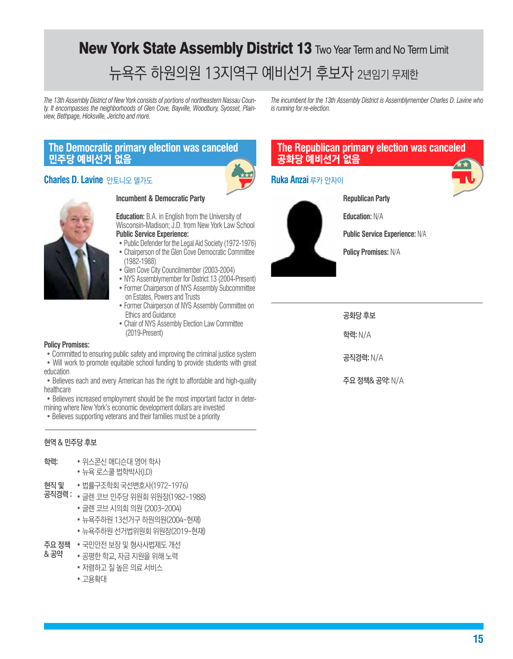# New York State Assembly District 13 Two Year Term and No Term Limit 뉴욕주 하원의원 13지역구 예비선거 후보자 2년임기 무제한

*The 13th Assembly District of New York consists of portions of northeastern Nassau County. It encompasses the neighborhoods of Glen Cove, Bayville, Woodbury, Syosset, Plainview, Bethpage, Hicksville, Jericho and more.*

*The incumbent for the 13th Assembly District is Assemblymember Charles D. Lavine who is running for re-election.*

### **The Democratic primary election was canceled** 민주당 예비선거 없음

#### **Charles D. Lavine** 안토니오 델가도 **Ruka Anzai** 루카 안자이





#### **Incumbent & Democratic Party**

**Education:** B.A. in English from the University of Wisconsin-Madison; J.D. from New York Law School **Public Service Experience:** • Public Defender for the Legal Aid Society (1972-1976)

- Chairperson of the Glen Cove Democratic Committee (1982-1988)
- Glen Cove City Councilmember (2003-2004)
- NYS Assemblymember for District 13 (2004-Present) • Former Chairperson of NYS Assembly Subcommittee
- on Estates, Powers and Trusts • Former Chairperson of NYS Assembly Committee on
- Ethics and Guidance
- Chair of NYS Assembly Election Law Committee (2019-Present)

#### **Policy Promises:**

• Committed to ensuring public safety and improving the criminal justice system

• Will work to promote equitable school funding to provide students with great education

• Believes each and every American has the right to affordable and high-quality healthcare

• Believes increased employment should be the most important factor in determining where New York's economic development dollars are invested

• Believes supporting veterans and their families must be a priority

#### 현역 & 민주당 후보

- 학력: 위스콘신 매디슨대 영어 학사
	- 뉴욕 로스쿨 법학박사(J.D)
- 현직 및 법률구조학회 국선변호사(1972-1976)
- 공직경력 : 글렌 코브 민주당 위원회 위원장(1982-1988)
	- 글렌 코브 시의회 의원 (2003-2004)
	- 뉴욕주하원 13선거구 하원의원(2004-현재)
	- 뉴욕주하원 선거법위원회 위원장(2019-현재)
- **주요 정책 •** 국민안전 보장 및 형사사법제도 개선<br>& 공약 고평하 하고 지근 지위은 의해 노려
- 공평한 학교, 자금 지원을 위해 노력
	- 저렴하고 질 높은 의료 서비스
	- 고용확대

### **The Republican primary election was canceled** 공화당 예비선거 없음



**Republican Party**

**Education:** N/A

**Public Service Experience:** N/A

**Policy Promises:** N/A

공화당 후보 학력: N/A

공직경력: N/A

주요 정책& 공약: N/A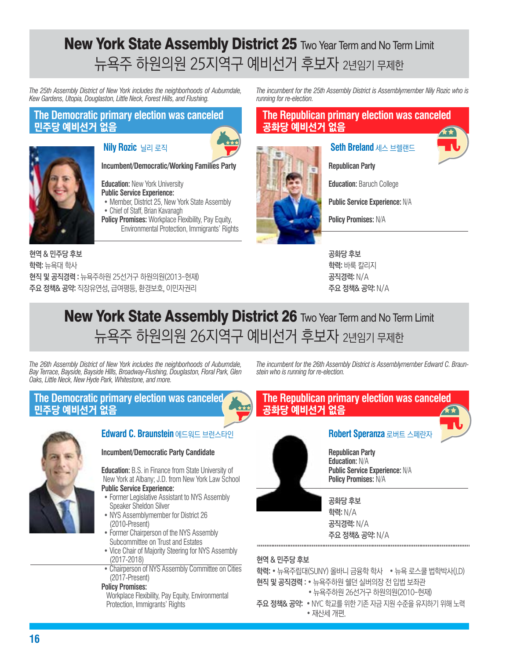## **New York State Assembly District 25 Two Year Term and No Term Limit** 뉴욕주 하원의원 25지역구 예비선거 후보자 2년임기 무제한

*The 25th Assembly District of New York includes the neighborhoods of Auburndale, Kew Gardens, Utopia, Douglaston, Little Neck, Forest Hills, and Flushing.*

#### **The Democratic primary election was canceled** 민주당 예비선거 없음



#### **Nily Rozic** 닐리 로직



**Incumbent/Democratic/Working Families Party**

**Education:** New York University **Public Service Experience:**

- Member, District 25, New York State Assembly • Chief of Staff, Brian Kavanagh
- **Policy Promises:** Workplace Flexibility, Pay Equity, Environmental Protection, Immigrants' Rights

현역 & 민주당 후보 학력: 뉴욕대 학사 현직 및 공직경력 : 뉴욕주하원 25선거구 하원의원(2013-현재) 주요 정책& 공약: 직장유연성, 급여평등, 환경보호, 이민자권리

*The incumbent for the 25th Assembly District is Assemblymember Nily Rozic who is running for re-election.*

### **The Republican primary election was canceled** 공화당 예비선거 없음

#### **Seth Breland** 세스 브렐랜드





**Republican Party**

**Public Service Experience:** N/A

**Policy Promises:** N/A

공화당 후보 학력: 바룩 칼리지 공직경력: N/A 주요 정책& 공약: N/A

## New York State Assembly District 26 Two Year Term and No Term Limit 뉴욕주 하원의원 26지역구 예비선거 후보자 2년임기 무제한

*The 26th Assembly District of New York includes the neighborhoods of Auburndale, Bay Terrace, Bayside, Bayside HIlls, Broadway-Flushing, Douglaston, Floral Park, Glen Oaks, Little Neck, New Hyde Park, Whitestone, and more.* 

**The Democratic primary election was canceled** 민주당 예비선거 없음



## **Edward C. Braunstein** 에드워드 브런스타인

#### **Incumbent/Democratic Party Candidate**

**Education:** B.S. in Finance from State University of New York at Albany; J.D. from New York Law School

- **Public Service Experience:**
- Former Legislative Assistant to NYS Assembly Speaker Sheldon Silver
- NYS Assemblymember for District 26 (2010-Present)
- Former Chairperson of the NYS Assembly Subcommittee on Trust and Estates
- Vice Chair of Majority Steering for NYS Assembly (2017-2018)
- Chairperson of NYS Assembly Committee on Cities (2017-Present)

#### **Policy Promises:**

 Workplace Flexibility, Pay Equity, Environmental Protection, Immigrants' Rights

*The incumbent for the 26th Assembly District is Assemblymember Edward C. Braunstein who is running for re-election.*



#### 현역 & 민주당 후보

- 학력: 뉴욕주립대(SUNY) 올바니 금융학 학사 뉴욕 로스쿨 법학박사(J.D)
- 현직 및 공직경력 : 뉴욕주하원 쉘던 실버의장 전 입법 보좌관 • 뉴욕주하원 26선거구 하원의원(2010-현재)
- 주요 정책& 공약: NYC 학교를 위한 기존 자금 지원 수준을 유지하기 위해 노력 • 재산세 개편.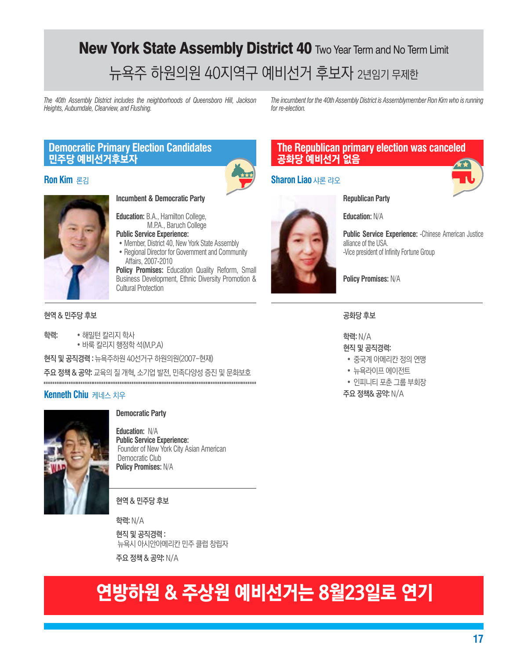# New York State Assembly District 40 Two Year Term and No Term Limit 뉴욕주 하원의원 40지역구 예비선거 후보자 2년임기 무제한

*The 40th Assembly District includes the neighborhoods of Queensboro Hill, Jackson Heights, Auburndale, Clearview, and Flushing.*

*The incumbent for the 40th Assembly District is Assemblymember Ron Kim who is running for re-election.*

### **Democratic Primary Election Candidates** 민주당 예비선거후보자

#### **Ron Kim** 론김



#### **The Republican primary election was canceled** 공화당 예비선거 없음

#### **Sharon Liao** 샤론 랴오





**Education:** B.A., Hamilton College,

- **Public Service Experience:** • Member, District 40, New York State Assembly
- Regional Director for Government and Community Affairs, 2007-2010

**Policy Promises: Education Quality Reform, Small** Business Development, Ethnic Diversity Promotion & Cultural Protection

#### 현역 & 민주당 후보

- 학력: 해밀턴 칼리지 학사 • 바룩 칼리지 행정학 석(M.P.A) 현직 및 공직경력 : 뉴욕주하원 40선거구 하원의원(2007-현재)
- 주요 정책 & 공약: 교육의 질 개혁, 소기업 발전, 민족다양성 증진 및 문화보호

#### **Kenneth Chiu** 케네스 치우



#### **Democratic Party**

**Education:** N/A **Public Service Experience:** Founder of New York City Asian American Democratic Club **Policy Promises:** N/A

현역 & 민주당 후보

학력: N/A 현직 및 공직경력 : 뉴욕시 아시안아메리칸 민주 클럽 창립자 주요 정책 & 공약: N/A

# 연방하원 & 주상원 예비선거는 8월23일로 연기

**Republican Party**

**Education:** N/A

**Public Service Experience:** -Chinese American Justice alliance of the USA. -Vice president of Infinity Fortune Group

**Policy Promises:** N/A

공화당 후보

학력: N/A 현직 및 공직경력:

- 중국계 아메리칸 정의 연맹
- 뉴욕라이프 에이전트
- 인피니티 포춘 그룹 부회장

주요 정책& 공약: N/A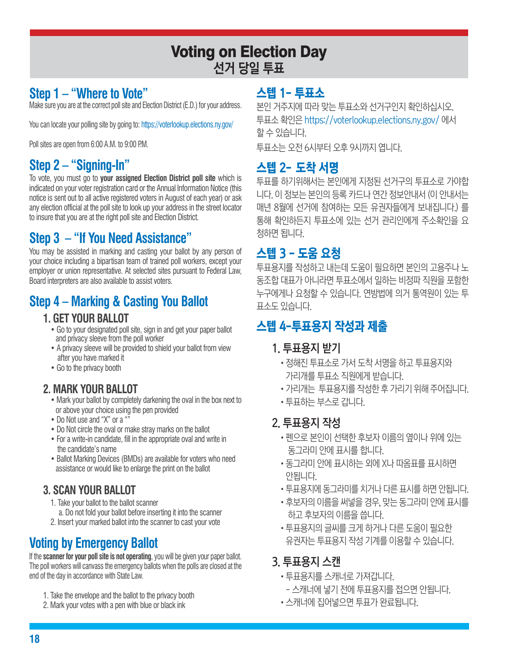## Voting on Election Day 선거 당일 투표

## **Step 1 – "Where to Vote"**

Make sure you are at the correct poll site and Election District (E.D.) for your address.

You can locate your polling site by going to: https://voterlookup.elections.ny.gov/

Poll sites are open from 6:00 A.M. to 9:00 P.M.

## **Step 2 – "Signing-In"**

To vote, you must go to **your assigned Election District poll site** which is indicated on your voter registration card or the Annual Information Notice (this notice is sent out to all active registered voters in August of each year) or ask any election official at the poll site to look up your address in the street locator to insure that you are at the right poll site and Election District.

## **Step 3 – "If You Need Assistance"**

You may be assisted in marking and casting your ballot by any person of your choice including a bipartisan team of trained poll workers, except your employer or union representative. At selected sites pursuant to Federal Law, Board interpreters are also available to assist voters.

## **Step 4 – Marking & Casting You Ballot**

## **1. GET YOUR BALLOT**

- Go to your designated poll site, sign in and get your paper ballot and privacy sleeve from the poll worker
- A privacy sleeve will be provided to shield your ballot from view after you have marked it
- Go to the privacy booth

## **2. MARK YOUR BALLOT**

- Mark your ballot by completely darkening the oval in the box next to or above your choice using the pen provided
- Do Not use and "X" or a ""
- Do Not circle the oval or make stray marks on the ballot
- For a write-in candidate, fill in the appropriate oval and write in the candidate's name
- Ballot Marking Devices (BMDs) are available for voters who need assistance or would like to enlarge the print on the ballot

## **3. SCAN YOUR BALLOT**

- 1. Take your ballot to the ballot scanner
- a. Do not fold your ballot before inserting it into the scanner
- 2. Insert your marked ballot into the scanner to cast your vote

## **Voting by Emergency Ballot**

If the **scanner for your poll site is not operating**, you will be given your paper ballot. The poll workers will canvass the emergency ballots when the polls are closed at the end of the day in accordance with State Law.

- 1. Take the envelope and the ballot to the privacy booth
- 2. Mark your votes with a pen with blue or black ink

## 스텝 1- 투표소

본인 거주지에 따라 맞는 투표소와 선거구인지 확인하십시오. 투표소 확인은 https://voterlookup.elections.ny.gov/ 에서 할 수 있습니다.

투표소는 오전 6시부터 오후 9시까지 엽니다.

## 스텝 2- 도착 서명

투표를 하기위해서는 본인에게 지정된 선거구의 투표소로 가야합 니다. 이 정보는 본인의 등록 카드나 연간 정보안내서 (이 안내서는 매년 8월에 선거에 참여하는 모든 유권자들에게 보내집니다.) 를 통해 확인하든지 투표소에 있는 선거 관리인에게 주소확인을 요 청하면 됩니다.

## 스텝 3 - 도움 요청

투표용지를 작성하고 내는데 도움이 필요하면 본인의 고용주나 노 동조합 대표가 아니라면 투표소에서 일하는 비정파 직원을 포함한 누구에게나 요청할 수 있습니다. 연방법에 의거 통역원이 있는 투 표소도 있습니다.

## 스텝 4-투표용지 작성과 제출

## 1. 투표용지 받기

- •정해진 투표소로 가서 도착 서명을 하고 투표용지와 가리개를 투표소 직원에게 받습니다.
- •가리개는 투표용지를 작성한 후 가리기 위해 주어집니다.
- •투표하는 부스로 갑니다.

## 2. 투표용지 작성

- •펜으로 본인이 선택한 후보자 이름의 옆이나 위에 있는 동그라미 안에 표시를 합니다.
- •동그라미 안에 표시하는 외에 X나 따옴표를 표시하면 안됩니다.
- •투표용지에 동그라미를 치거나 다른 표시를 하면 안됩니다.
- •후보자의 이름을 써넣을 경우, 맞는 동그라미 안에 표시를 하고 후보자의 이름을 씁니다.
- •투표용지의 글씨를 크게 하거나 다른 도움이 필요한 유권자는 투표용지 작성 기계를 이용할 수 있습니다.

## 3. 투표용지 스캔

- •투표용지를 스캐너로 가져갑니다.
- 스캐너에 넣기 전에 투표용지를 접으면 안됩니다.
- •스캐너에 집어넣으면 투표가 완료됩니다.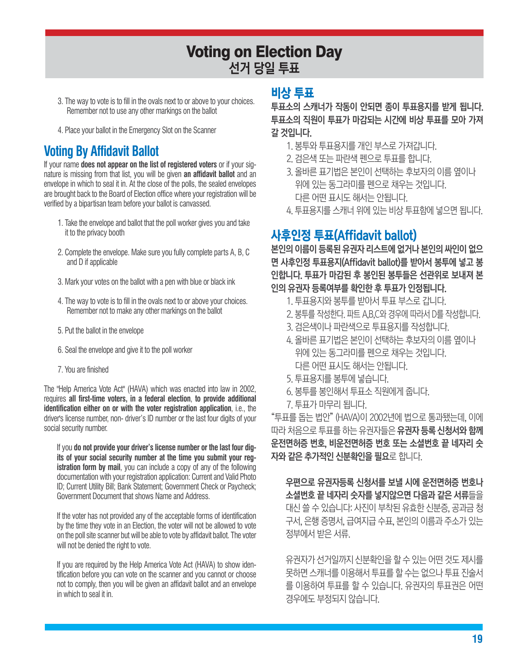## Voting on Election Day 선거 당일 투표

- 3. The way to vote is to fill in the ovals next to or above to your choices. Remember not to use any other markings on the ballot
- 4. Place your ballot in the Emergency Slot on the Scanner

## **Voting By Affidavit Ballot**

If your name **does not appear on the list of registered voters** or if your signature is missing from that list, you will be given **an affidavit ballot** and an envelope in which to seal it in. At the close of the polls, the sealed envelopes are brought back to the Board of Election office where your registration will be verified by a bipartisan team before your ballot is canvassed.

- 1. Take the envelope and ballot that the poll worker gives you and take it to the privacy booth
- 2. Complete the envelope. Make sure you fully complete parts A, B, C and D if applicable
- 3. Mark your votes on the ballot with a pen with blue or black ink
- 4. The way to vote is to fill in the ovals next to or above your choices. Remember not to make any other markings on the ballot
- 5. Put the ballot in the envelope
- 6. Seal the envelope and give it to the poll worker
- 7. You are finished

The "Help America Vote Act" (HAVA) which was enacted into law in 2002, requires **all first-time voters, in a federal election**, **to provide additional identification either on or with the voter registration application**, i.e., the driver's license number, non- driver's ID number or the last four digits of your social security number.

If you **do not provide your driver's license number or the last four digits of your social security number at the time you submit your registration form by mail**, you can include a copy of any of the following documentation with your registration application: Current and Valid Photo ID; Current Utility Bill; Bank Statement; Government Check or Paycheck; Government Document that shows Name and Address.

If the voter has not provided any of the acceptable forms of identification by the time they vote in an Election, the voter will not be allowed to vote on the poll site scanner but will be able to vote by affidavit ballot. The voter will not be denied the right to vote.

If you are required by the Help America Vote Act (HAVA) to show identification before you can vote on the scanner and you cannot or choose not to comply, then you will be given an affidavit ballot and an envelope in which to seal it in.

### 비상 투표

투표소의 스캐너가 작동이 안되면 종이 투표용지를 받게 됩니다. 투표소의 직원이 투표가 마감되는 시간에 비상 투표를 모아 가져 갈 것입니다.

- 1. 봉투와 투표용지를 개인 부스로 가져갑니다.
- 2. 검은색 또는 파란색 펜으로 투표를 합니다.
- 3. 올바른 표기법은 본인이 선택하는 후보자의 이름 옆이나 위에 있는 동그라미를 펜으로 채우는 것입니다. 다른 어떤 표시도 해서는 안됩니다.
- 4. 투표용지를 스캐너 위에 있는 비상 투표함에 넣으면 됩니다.

## 사후인정 투표(Affidavit ballot)

본인의 이름이 등록된 유권자 리스트에 없거나 본인의 싸인이 없으 면 사후인정 투표용지(Affidavit ballot)를 받아서 봉투에 넣고 봉 인합니다. 투표가 마감된 후 봉인된 봉투들은 선관위로 보내져 본 인의 유권자 등록여부를 확인한 후 투표가 인정됩니다.

- 1. 투표용지와 봉투를 받아서 투표 부스로 갑니다.
- 2. 봉투를 작성한다. 파트 A,B,C와 경우에 따라서 D를 작성합니다.
- 3. 검은색이나 파란색으로 투표용지를 작성합니다.
- 4. 올바른 표기법은 본인이 선택하는 후보자의 이름 옆이나 위에 있는 동그라미를 펜으로 채우는 것입니다. 다른 어떤 표시도 해서는 안됩니다.
- 5. 투표용지를 봉투에 넣습니다.
- 6. 봉투를 봉인해서 투표소 직원에게 줍니다.
- 7. 투표가 마무리 됩니다.

"투표를 돕는 법안" (HAVA)이 2002년에 법으로 통과됐는데, 이에 따라 처음으로 투표를 하는 유권자들은 유권자 등록 신청서와 함께 운전면허증 번호, 비운전면허증 번호 또는 소셜번호 끝 네자리 숫 자와 같은 추가적인 신분확인을 필요로 합니다.

우편으로 유권자등록 신청서를 보낼 시에 운전면허증 번호나 소셜번호 끝 네자리 숫자를 넣지않으면 다음과 같은 서류들을 대신 쓸 수 있습니다: 사진이 부착된 유효한 신분증, 공과금 청 구서, 은행 증명서, 급여지급 수표, 본인의 이름과 주소가 있는 정부에서 받은 서류.

유권자가 선거일까지 신분확인을 할 수 있는 어떤 것도 제시를 못하면 스캐너를 이용해서 투표를 할 수는 없으나 투표 진술서 를 이용하여 투표를 할 수 있습니다. 유권자의 투표권은 어떤 경우에도 부정되지 않습니다.